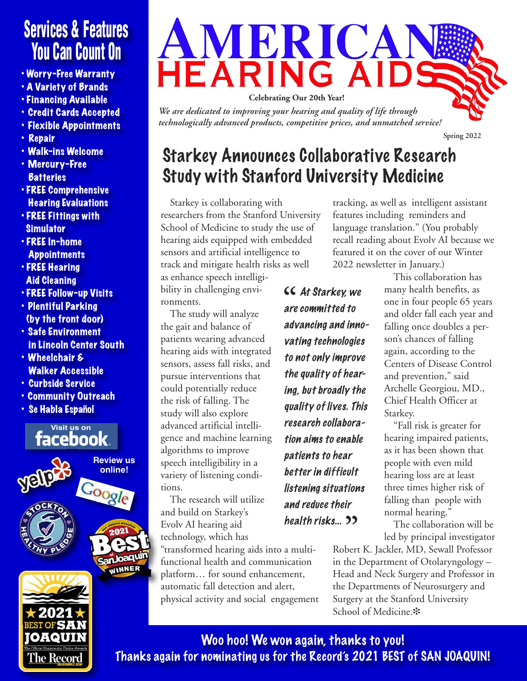# **Services & Features You Can Count On**

- Worry-Free Warranty
- A Variety of Brands
- Financing Available
- Credit Cards Accepted
- Flexible Appointments
- Repair
- Walk-ins Welcome
- Mercury-Free **Batteries**
- FREE Comprehensive Hearing Evaluations
- FREE Fittings with **Simulator**
- FREE In-home **Appointments**
- FREE Hearing Aid Cleaning
- FREE Follow-up Visits
- Plentiful Parking (by the front door)
- Safe Environment in Lincoln Center South
- Wheelchair & Walker Accessible
- Curbside Service
- Community Outreach
- Se Habla Español

l'he Record





*We are dedicated to improving your hearing and quality of life through technologically advanced products, competitive prices, and unmatched service!*

# Starkey Announces Collaborative Research Study with Stanford University Medicine

Starkey is collaborating with researchers from the Stanford University School of Medicine to study the use of hearing aids equipped with embedded sensors and artificial intelligence to track and mitigate health risks as well as enhance speech intelligi-

bility in challenging environments.

The study will analyze the gait and balance of patients wearing advanced hearing aids with integrated sensors, assess fall risks, and pursue interventions that could potentially reduce the risk of falling. The study will also explore advanced artificial intelligence and machine learning algorithms to improve speech intelligibility in a variety of listening conditions.

The research will utilize and build on Starkey's Evolv AI hearing aid technology, which has

"transformed hearing aids into a multifunctional health and communication platform… for sound enhancement, automatic fall detection and alert, physical activity and social engagement

**CC** At Starkey, we<br>are committed to are committed to advancing and innovating technologies to not only improve the quality of hearing, but broadly the quality of lives. This research collaboration aims to enable patients to hear better in difficult listening situations and reduce their health risks... **"**

tracking, as well as intelligent assistant features including reminders and language translation." (You probably recall reading about Evolv AI because we featured it on the cover of our Winter 2022 newsletter in January.)

This collaboration has many health benefits, as one in four people 65 years and older fall each year and falling once doubles a person's chances of falling again, according to the Centers of Disease Control and prevention," said Archelle Georgiou, MD., Chief Health Officer at Starkey.

"Fall risk is greater for hearing impaired patients, as it has been shown that people with even mild hearing loss are at least three times higher risk of falling than people with normal hearing."

The collaboration will be led by principal investigator

Robert K. Jackler, MD, Sewall Professor in the Department of Otolaryngology – Head and Neck Surgery and Professor in the Departments of Neurosurgery and Surgery at the Stanford University School of Medicine. $\ddot{\textbf{\textit{x}}}$ 

**Spring 2022**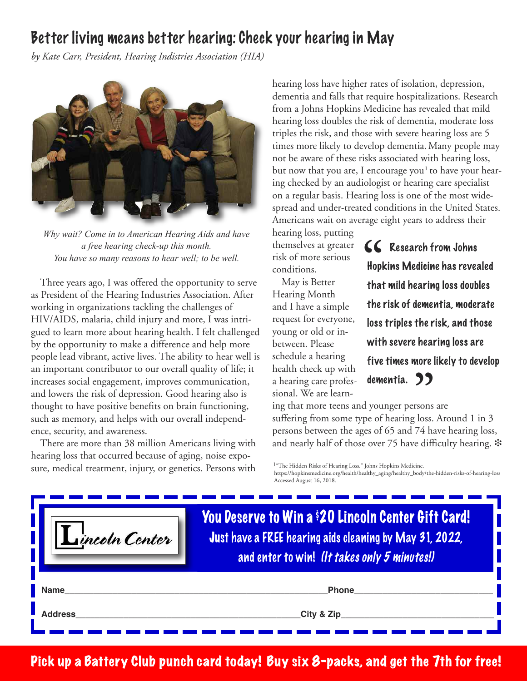## Better living means better hearing: Check your hearing in May

*by Kate Carr, President, Hearing Indistries Association (HIA)*



*Why wait? Come in to American Hearing Aids and have a free hearing check-up this month. You have so many reasons to hear well; to be well.*

Three years ago, I was offered the opportunity to serve as President of the Hearing Industries Association. After working in organizations tackling the challenges of HIV/AIDS, malaria, child injury and more, I was intrigued to learn more about hearing health. I felt challenged by the opportunity to make a difference and help more people lead vibrant, active lives. The ability to hear well is an important contributor to our overall quality of life; it increases social engagement, improves communication, and lowers the risk of depression. Good hearing also is thought to have positive benefits on brain functioning, such as memory, and helps with our overall independence, security, and awareness.

There are more than 38 million Americans living with hearing loss that occurred because of aging, noise exposure, medical treatment, injury, or genetics. Persons with

hearing loss have higher rates of isolation, depression, dementia and falls that require hospitalizations. Research from a Johns Hopkins Medicine has revealed that mild hearing loss doubles the risk of dementia, moderate loss triples the risk, and those with severe hearing loss are 5 times more likely to develop dementia. Many people may not be aware of these risks associated with hearing loss, but now that you are, I encourage you $^{\rm 1}$  to have your hearing checked by an audiologist or hearing care specialist on a regular basis. Hearing loss is one of the most widespread and under-treated conditions in the United States. Americans wait on average eight years to address their

hearing loss, putting themselves at greater risk of more serious conditions.

May is Better Hearing Month and I have a simple request for everyone, young or old or inbetween. Please schedule a hearing health check up with a hearing care professional. We are learn**EC** Research from Johns<br> **Hopkins Medicine has reve**<br> **that mild hearing loss dout** Hopkins Medicine has revealed that mild hearing loss doubles the risk of dementia, moderate loss triples the risk, and those with severe hearing loss are five times more likely to develop

ing that more teens and younger persons are suffering from some type of hearing loss. Around 1 in 3 persons between the ages of 65 and 74 have hearing loss, and nearly half of those over 75 have difficulty hearing.  $\ast$ **dementia. ))**<br>younger persons<br>e of hearing loss.

<sup>1</sup>"The Hidden Risks of Hearing Loss." Johns Hopkins Medicine.

https://hopkinsmedicine.org/health/healthy\_aging/healthy\_body/the-hidden-risks-of-hearing-loss Accessed August 16, 2018.

| Lincoln Center | You Deserve to Win a \$20 Lincoln Center Gift Card!<br>Just have a FREE hearing aids cleaning by May 31, 2022,<br>and enter to win! (It takes only 5 minutes!) |
|----------------|----------------------------------------------------------------------------------------------------------------------------------------------------------------|
| <b>Name</b>    | <b>Phone</b>                                                                                                                                                   |
| <b>Address</b> | City & Zip                                                                                                                                                     |

Pick up a Battery Club punch card today! Buy six 8-packs, and get the 7th for free!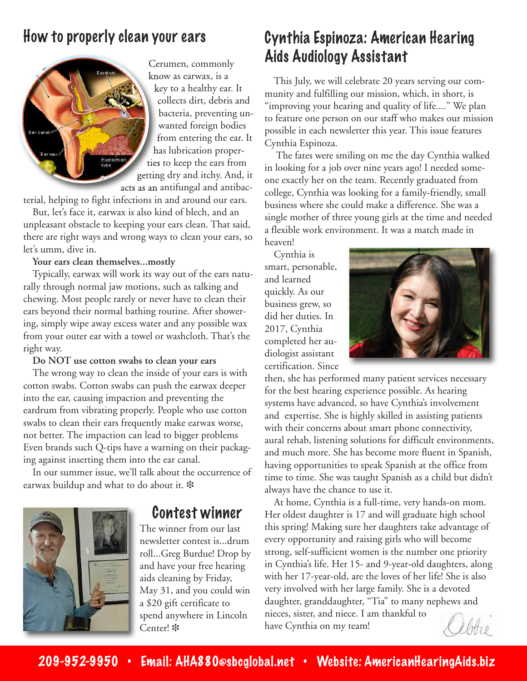### How to properly clean your ears



Cerumen, commonly know as earwax, is a key to a healthy ear. It collects dirt, debris and bacteria, preventing unwanted foreign bodies from entering the ear. It has lubrication properties to keep the ears from getting dry and itchy. And, it acts as an antifungal and antibac-

terial, helping to fight infections in and around our ears.

But, let's face it, earwax is also kind of blech, and an unpleasant obstacle to keeping your ears clean. That said, there are right ways and wrong ways to clean your ears, so let's umm, dive in.

#### **Your ears clean themselves...mostly**

Typically, earwax will work its way out of the ears naturally through normal jaw motions, such as talking and chewing. Most people rarely or never have to clean their ears beyond their normal bathing routine. After showering, simply wipe away excess water and any possible wax from your outer ear with a towel or washcloth. That's the right way.

#### **Do NOT use cotton swabs to clean your ears**

The wrong way to clean the inside of your ears is with cotton swabs. Cotton swabs can push the earwax deeper into the ear, causing impaction and preventing the eardrum from vibrating properly. People who use cotton swabs to clean their ears frequently make earwax worse, not better. The impaction can lead to bigger problems Even brands such Q-tips have a warning on their packaging against inserting them into the ear canal.

In our summer issue, we'll talk about the occurrence of earwax buildup and what to do about it. \*

### Contest winner

The winner from our last newsletter contest is...drum roll...Greg Burdue! Drop by and have your free hearing aids cleaning by Friday, May 31, and you could win a \$20 gift certificate to spend anywhere in Lincoln Center! \*

## Cynthia Espinoza: American Hearing Aids Audiology Assistant

This July, we will celebrate 20 years serving our community and fulfilling our mission, which, in short, is "improving your hearing and quality of life...." We plan to feature one person on our staff who makes our mission possible in each newsletter this year. This issue features Cynthia Espinoza.

The fates were smiling on me the day Cynthia walked in looking for a job over nine years ago! I needed someone exactly her on the team. Recently graduated from college, Cynthia was looking for a family-friendly, small business where she could make a difference. She was a single mother of three young girls at the time and needed a flexible work environment. It was a match made in heaven!

Cynthia is smart, personable, and learned quickly. As our business grew, so did her duties. In 2017, Cynthia completed her audiologist assistant certification. Since



then, she has performed many patient services necessary for the best hearing experience possible. As hearing systems have advanced, so have Cynthia's involvement and expertise. She is highly skilled in assisting patients with their concerns about smart phone connectivity, aural rehab, listening solutions for difficult environments, and much more. She has become more fluent in Spanish, having opportunities to speak Spanish at the office from time to time. She was taught Spanish as a child but didn't always have the chance to use it.

At home, Cynthia is a full-time, very hands-on mom. Her oldest daughter is 17 and will graduate high school this spring! Making sure her daughters take advantage of every opportunity and raising girls who will become strong, self-sufficient women is the number one priority in Cynthia's life. Her 15- and 9-year-old daughters, along with her 17-year-old, are the loves of her life! She is also very involved with her large family. She is a devoted daughter, granddaughter, "Tia" to many nephews and nieces, sister, and niece. I am thankful to have Cynthia on my team!